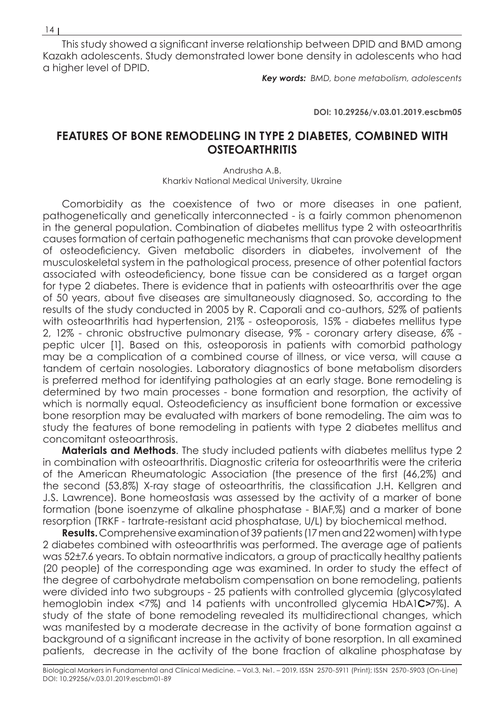This study showed a significant inverse relationship between DPID and BMD among Kazakh adolescents. Study demonstrated lower bone density in adolescents who had a higher level of DPID.

*Key words: BMD, bone metabolism, adolescents*

**DOI: 10.29256/v.03.01.2019.escbm05**

## **FEATURES OF BONE REMODELING IN TYPE 2 DIABETES, COMBINED WITH OSTEOARTHRITIS**

Andrusha A.B. Kharkiv National Medical University, Ukraine

Comorbidity as the coexistence of two or more diseases in one patient, pathogenetically and genetically interconnected - is a fairly common phenomenon in the general population. Combination of diabetes mellitus type 2 with osteoarthritis causes formation of certain pathogenetic mechanisms that can provoke development of osteodeficiency. Given metabolic disorders in diabetes, involvement of the musculoskeletal system in the pathological process, presence of other potential factors associated with osteodeficiency, bone tissue can be considered as a target organ for type 2 diabetes. There is evidence that in patients with osteoarthritis over the age of 50 years, about five diseases are simultaneously diagnosed. So, according to the results of the study conducted in 2005 by R. Caporali and co-authors, 52% of patients with osteoarthritis had hypertension, 21% - osteoporosis, 15% - diabetes mellitus type 2, 12% - chronic obstructive pulmonary disease, 9% - coronary artery disease, 6% peptic ulcer [1]. Based on this, osteoporosis in patients with comorbid pathology may be a complication of a combined course of illness, or vice versa, will cause a tandem of certain nosologies. Laboratory diagnostics of bone metabolism disorders is preferred method for identifying pathologies at an early stage. Bone remodeling is determined by two main processes - bone formation and resorption, the activity of which is normally equal. Osteodeficiency as insufficient bone formation or excessive bone resorption may be evaluated with markers of bone remodeling. The aim was to study the features of bone remodeling in patients with type 2 diabetes mellitus and concomitant osteoarthrosis.

**Materials and Methods.** The study included patients with diabetes mellitus type 2 in combination with osteoarthritis. Diagnostic criteria for osteoarthritis were the criteria of the American Rheumatologic Association (the presence of the first (46,2%) and the second (53,8%) X-ray stage of osteoarthritis, the classification J.H. Kellgren and J.S. Lawrence). Bone homeostasis was assessed by the activity of a marker of bone formation (bone isoenzyme of alkaline phosphatase - BIAF,%) and a marker of bone resorption (TRKF - tartrate-resistant acid phosphatase, U/L) by biochemical method.

**Results.** Comprehensive examination of 39 patients (17 men and 22 women) with type 2 diabetes combined with osteoarthritis was performed. The average age of patients was 52±7.6 years. To obtain normative indicators, a group of practically healthy patients (20 people) of the corresponding age was examined. In order to study the effect of the degree of carbohydrate metabolism compensation on bone remodeling, patients were divided into two subgroups - 25 patients with controlled glycemia (glycosylated hemoglobin index <7%) and 14 patients with uncontrolled glycemia HbA1**С˃**7%). A study of the state of bone remodeling revealed its multidirectional changes, which was manifested by a moderate decrease in the activity of bone formation against a background of a significant increase in the activity of bone resorption. In all examined patients, decrease in the activity of the bone fraction of alkaline phosphatase by